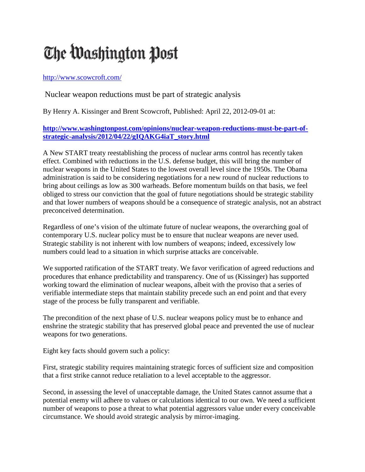## The Washington Post

## <http://www.scowcroft.com/>

## Nuclear weapon reductions must be part of strategic analysis

By Henry A. Kissinger and Brent Scowcroft, Published: April 22, 2012-09-01 at:

## **[http://www.washingtonpost.com/opinions/nuclear-weapon-reductions-must-be-part-of](http://www.washingtonpost.com/opinions/nuclear-weapon-reductions-must-be-part-of-strategic-analysis/2012/04/22/gIQAKG4iaT_story.html)[strategic-analysis/2012/04/22/gIQAKG4iaT\\_story.html](http://www.washingtonpost.com/opinions/nuclear-weapon-reductions-must-be-part-of-strategic-analysis/2012/04/22/gIQAKG4iaT_story.html)**

A New START treaty reestablishing the process of nuclear arms control has recently taken effect. Combined with reductions in the U.S. defense budget, this will bring the number of nuclear weapons in the United States to the lowest overall level since the 1950s. The Obama administration is said to be considering negotiations for a new round of nuclear reductions to bring about ceilings as low as 300 warheads. Before momentum builds on that basis, we feel obliged to stress our conviction that the goal of future negotiations should be strategic stability and that lower numbers of weapons should be a consequence of strategic analysis, not an abstract preconceived determination.

Regardless of one's vision of the ultimate future of nuclear weapons, the overarching goal of contemporary U.S. nuclear policy must be to ensure that nuclear weapons are never used. Strategic stability is not inherent with low numbers of weapons; indeed, excessively low numbers could lead to a situation in which surprise attacks are conceivable.

We supported ratification of the START treaty. We favor verification of agreed reductions and procedures that enhance predictability and transparency. One of us (Kissinger) has supported working toward the elimination of nuclear weapons, albeit with the proviso that a series of verifiable intermediate steps that maintain stability precede such an end point and that every stage of the process be fully transparent and verifiable.

The precondition of the next phase of U.S. nuclear weapons policy must be to enhance and enshrine the strategic stability that has preserved global peace and prevented the use of nuclear weapons for two generations.

Eight key facts should govern such a policy:

First, strategic stability requires maintaining strategic forces of sufficient size and composition that a first strike cannot reduce retaliation to a level acceptable to the aggressor.

Second, in assessing the level of unacceptable damage, the United States cannot assume that a potential enemy will adhere to values or calculations identical to our own. We need a sufficient number of weapons to pose a threat to what potential aggressors value under every conceivable circumstance. We should avoid strategic analysis by mirror-imaging.